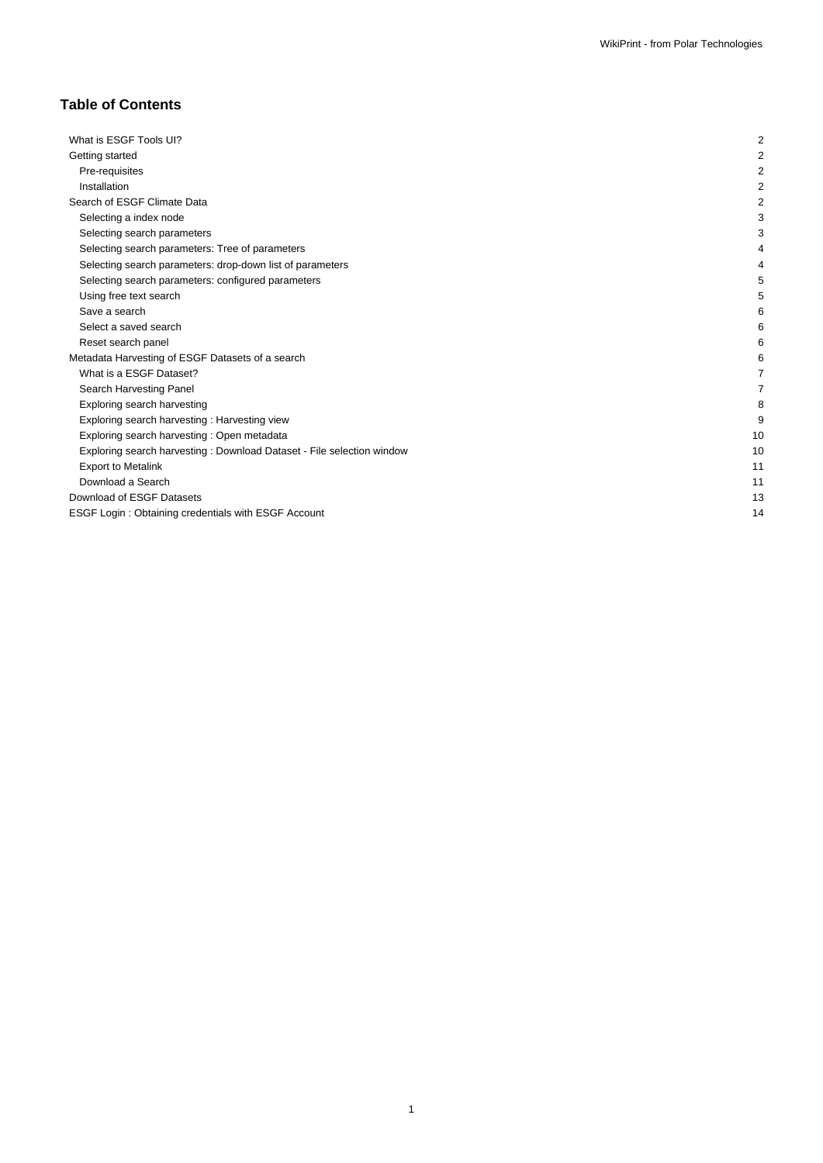# **Table of Contents**

| What is ESGF Tools UI?                                                | 2              |
|-----------------------------------------------------------------------|----------------|
| Getting started                                                       | $\overline{2}$ |
| Pre-requisites                                                        | 2              |
| Installation                                                          | 2              |
| Search of ESGF Climate Data                                           | 2              |
| Selecting a index node                                                | 3              |
| Selecting search parameters                                           | 3              |
| Selecting search parameters: Tree of parameters                       |                |
| Selecting search parameters: drop-down list of parameters             |                |
| Selecting search parameters: configured parameters                    |                |
| Using free text search                                                | 5              |
| Save a search                                                         | 6              |
| Select a saved search                                                 | 6              |
| Reset search panel                                                    | 6              |
| Metadata Harvesting of ESGF Datasets of a search                      | 6              |
| What is a ESGF Dataset?                                               |                |
| Search Harvesting Panel                                               |                |
| Exploring search harvesting                                           | 8              |
| Exploring search harvesting: Harvesting view                          | 9              |
| Exploring search harvesting: Open metadata                            | 10             |
| Exploring search harvesting: Download Dataset - File selection window | 10             |
| <b>Export to Metalink</b>                                             | 11             |
| Download a Search                                                     | 11             |
| Download of ESGF Datasets                                             | 13             |
| ESGF Login: Obtaining credentials with ESGF Account                   | 14             |
|                                                                       |                |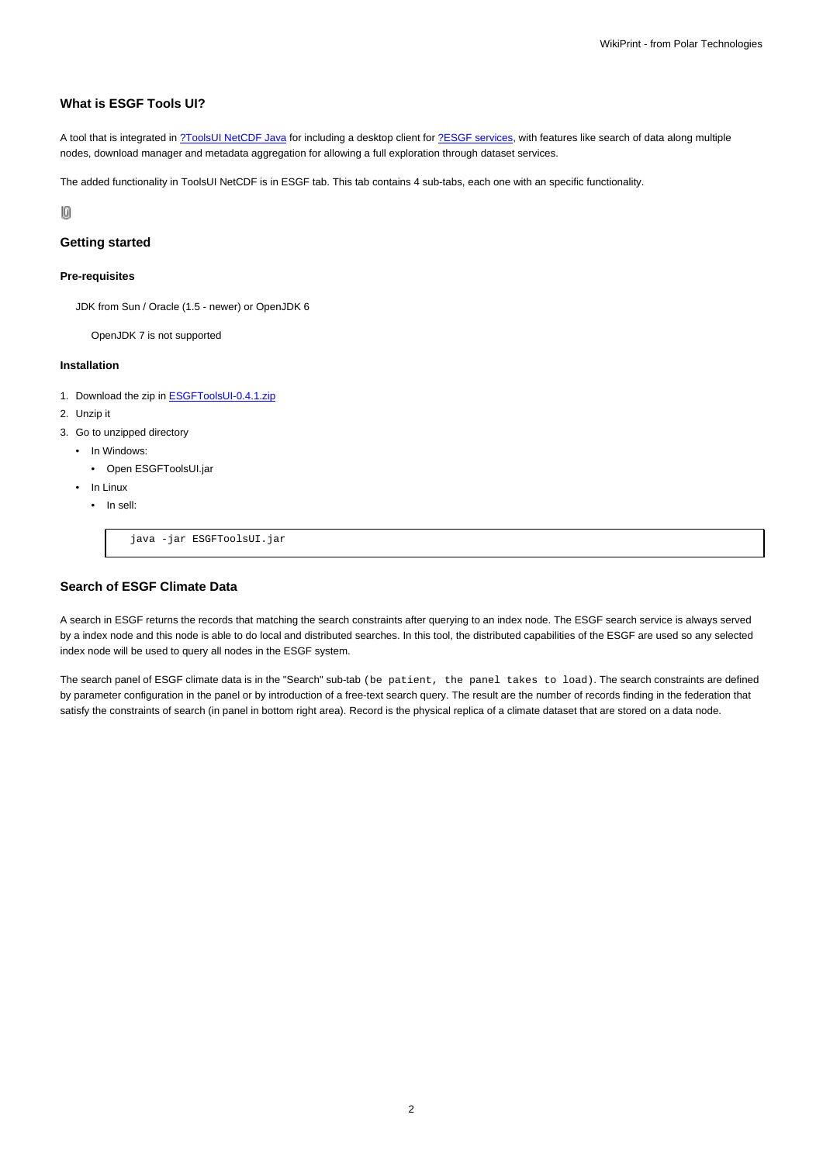# **What is ESGF Tools UI?**

A tool that is integrated in [?ToolsUI NetCDF Java](http://www.unidata.ucar.edu/downloads/netcdf/index.jsp) for including a desktop client for [?ESGF services](https://github.com/ESGF/esgf.github.io/wiki), with features like search of data along multiple nodes, download manager and metadata aggregation for allowing a full exploration through dataset services.

The added functionality in ToolsUI NetCDF is in ESGF tab. This tab contains 4 sub-tabs, each one with an specific functionality.

10

## **Getting started**

#### **Pre-requisites**

JDK from Sun / Oracle (1.5 - newer) or OpenJDK 6

OpenJDK 7 is not supported

#### **Installation**

- 1. Download the zip in **ESGFToolsUI-0.4.1.zip**
- 2. Unzip it
- 3. Go to unzipped directory
	- In Windows:
		- Open ESGFToolsUI.jar
	- In Linux
		- In sell:

java -jar ESGFToolsUI.jar

# **Search of ESGF Climate Data**

A search in ESGF returns the records that matching the search constraints after querying to an index node. The ESGF search service is always served by a index node and this node is able to do local and distributed searches. In this tool, the distributed capabilities of the ESGF are used so any selected index node will be used to query all nodes in the ESGF system.

The search panel of ESGF climate data is in the "Search" sub-tab (be patient, the panel takes to load). The search constraints are defined by parameter configuration in the panel or by introduction of a free-text search query. The result are the number of records finding in the federation that satisfy the constraints of search (in panel in bottom right area). Record is the physical replica of a climate dataset that are stored on a data node.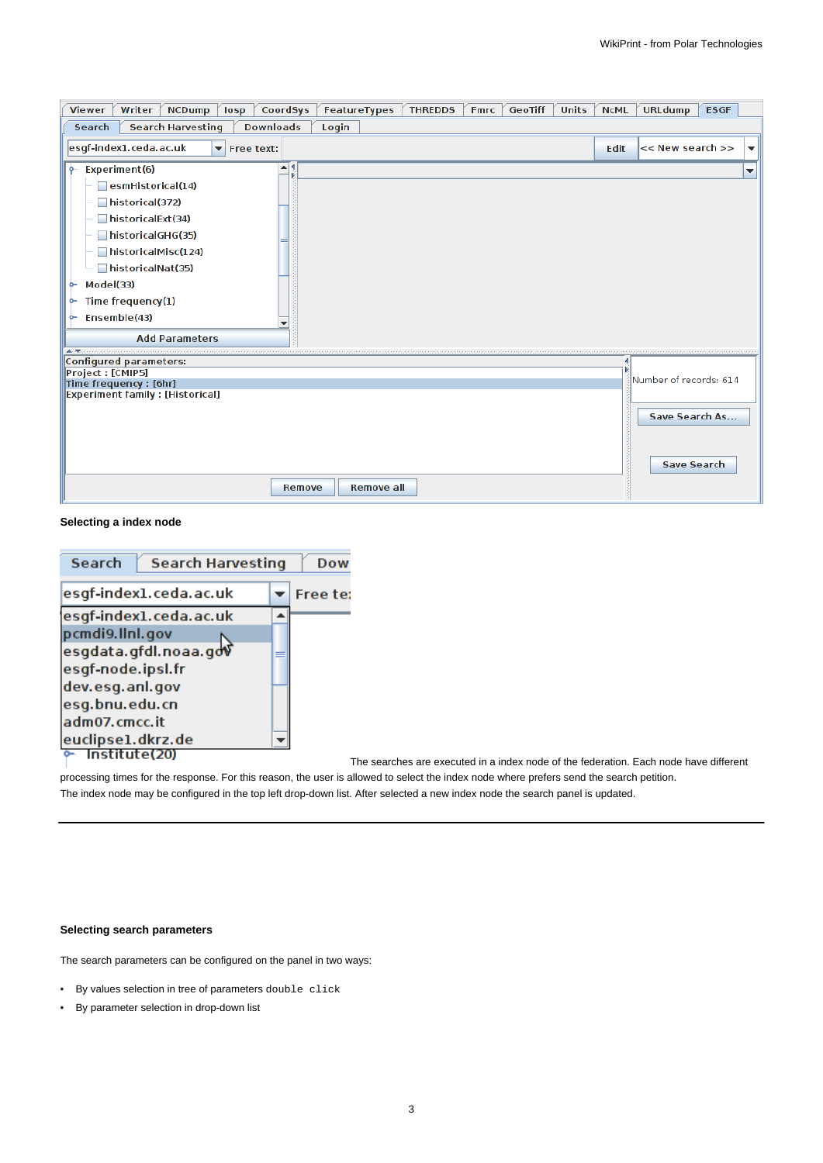| CoordSys<br>FeatureTypes<br>Writer<br><b>NCDump</b><br><b>THREDDS</b><br><b>GeoTiff</b><br><b>Units</b><br><b>Viewer</b><br>losp<br><b>Fmrc</b>                                                                                                        | <b>NCML</b> | <b>URLdump</b>                       | <b>ESGF</b> |                          |
|--------------------------------------------------------------------------------------------------------------------------------------------------------------------------------------------------------------------------------------------------------|-------------|--------------------------------------|-------------|--------------------------|
| <b>Search Harvesting</b><br><b>Downloads</b><br>Search<br>Login                                                                                                                                                                                        |             |                                      |             |                          |
| esgf-index1.ceda.ac.uk<br>$\blacktriangleright$ Free text:                                                                                                                                                                                             | Edit        | << New search >>                     |             | $\overline{\phantom{a}}$ |
| ▲∣<br>Experiment(6)<br>۰.<br>esmHistorical(14)<br>historical(372)<br>historicalExt(34)<br>historicalGHG(35)<br>historicalMisc(124)<br>historicalNat(35)<br>Model(33)<br>۰<br>Time frequency(1)<br>۰<br>Ensemble(43)<br>۰<br>٠<br><b>Add Parameters</b> |             |                                      |             | ▼                        |
| Configured parameters:                                                                                                                                                                                                                                 |             |                                      |             |                          |
| Project : [CMIP5]<br>Time frequency : [6hr]                                                                                                                                                                                                            |             | Number of records: 614               |             |                          |
| <b>Experiment family : [Historical]</b><br><b>Remove all</b><br>Remove                                                                                                                                                                                 |             | Save Search As<br><b>Save Search</b> |             |                          |

# **Selecting a index node**

| <b>Search</b>     | <b>Search Harvesting</b> | Dow      |
|-------------------|--------------------------|----------|
|                   | esgf-index1.ceda.ac.uk   | Free te: |
|                   | esgf-index1.ceda.ac.uk   |          |
| pcmdi9.llnl.gov   |                          |          |
|                   | esgdata.gfdl.noaa.gdv    |          |
| esgf-node.ipsl.fr |                          |          |
| dev.esg.anl.gov   |                          |          |
| esg.bnu.edu.cn    |                          |          |
| adm07.cmcc.it     |                          |          |
| euclipse1.dkrz.de |                          |          |
| Institute(20)     |                          |          |

The searches are executed in a index node of the federation. Each node have different

processing times for the response. For this reason, the user is allowed to select the index node where prefers send the search petition. The index node may be configured in the top left drop-down list. After selected a new index node the search panel is updated.

# **Selecting search parameters**

The search parameters can be configured on the panel in two ways:

- By values selection in tree of parameters double click
- By parameter selection in drop-down list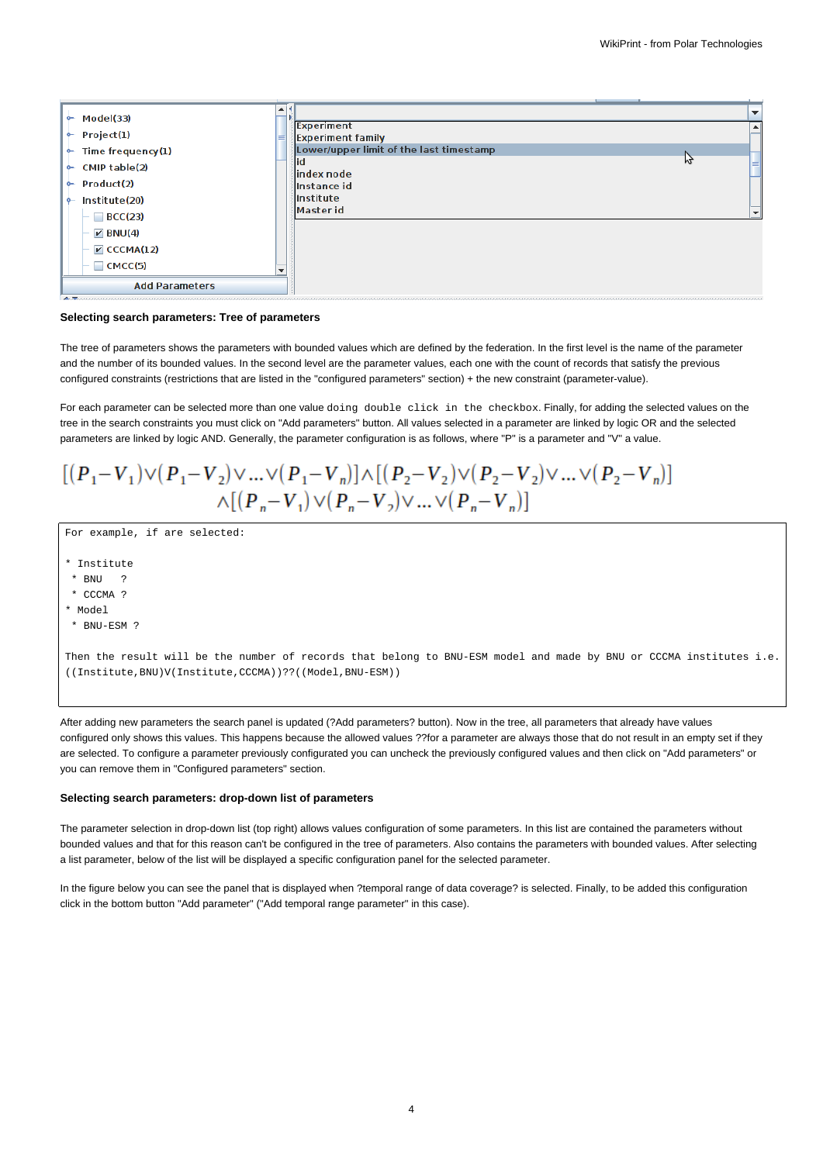

#### **Selecting search parameters: Tree of parameters**

The tree of parameters shows the parameters with bounded values which are defined by the federation. In the first level is the name of the parameter and the number of its bounded values. In the second level are the parameter values, each one with the count of records that satisfy the previous configured constraints (restrictions that are listed in the "configured parameters" section) + the new constraint (parameter-value).

For each parameter can be selected more than one value doing double click in the checkbox. Finally, for adding the selected values on the tree in the search constraints you must click on "Add parameters" button. All values selected in a parameter are linked by logic OR and the selected parameters are linked by logic AND. Generally, the parameter configuration is as follows, where "P" is a parameter and "V" a value.

 $[(P_1-V_1) \vee (P_1-V_2) \vee ... \vee (P_1-V_n)] \wedge [(P_2-V_2) \vee (P_2-V_2) \vee ... \vee (P_2-V_n)]$  $\wedge [(P_n - V_1) \vee (P_n - V_2) \vee ... \vee (P_n - V_n)]$ 

For example, if are selected:

- \* Institute
- \* BNU ? \* CCCMA ?
- \* Model
- \* BNU-ESM ?

Then the result will be the number of records that belong to BNU-ESM model and made by BNU or CCCMA institutes i.e. ((Institute,BNU)V(Institute,CCCMA))??((Model,BNU-ESM))

After adding new parameters the search panel is updated (?Add parameters? button). Now in the tree, all parameters that already have values configured only shows this values. This happens because the allowed values ??for a parameter are always those that do not result in an empty set if they are selected. To configure a parameter previously configurated you can uncheck the previously configured values and then click on "Add parameters" or you can remove them in "Configured parameters" section.

#### **Selecting search parameters: drop-down list of parameters**

The parameter selection in drop-down list (top right) allows values configuration of some parameters. In this list are contained the parameters without bounded values and that for this reason can't be configured in the tree of parameters. Also contains the parameters with bounded values. After selecting a list parameter, below of the list will be displayed a specific configuration panel for the selected parameter.

In the figure below you can see the panel that is displayed when ?temporal range of data coverage? is selected. Finally, to be added this configuration click in the bottom button "Add parameter" ("Add temporal range parameter" in this case).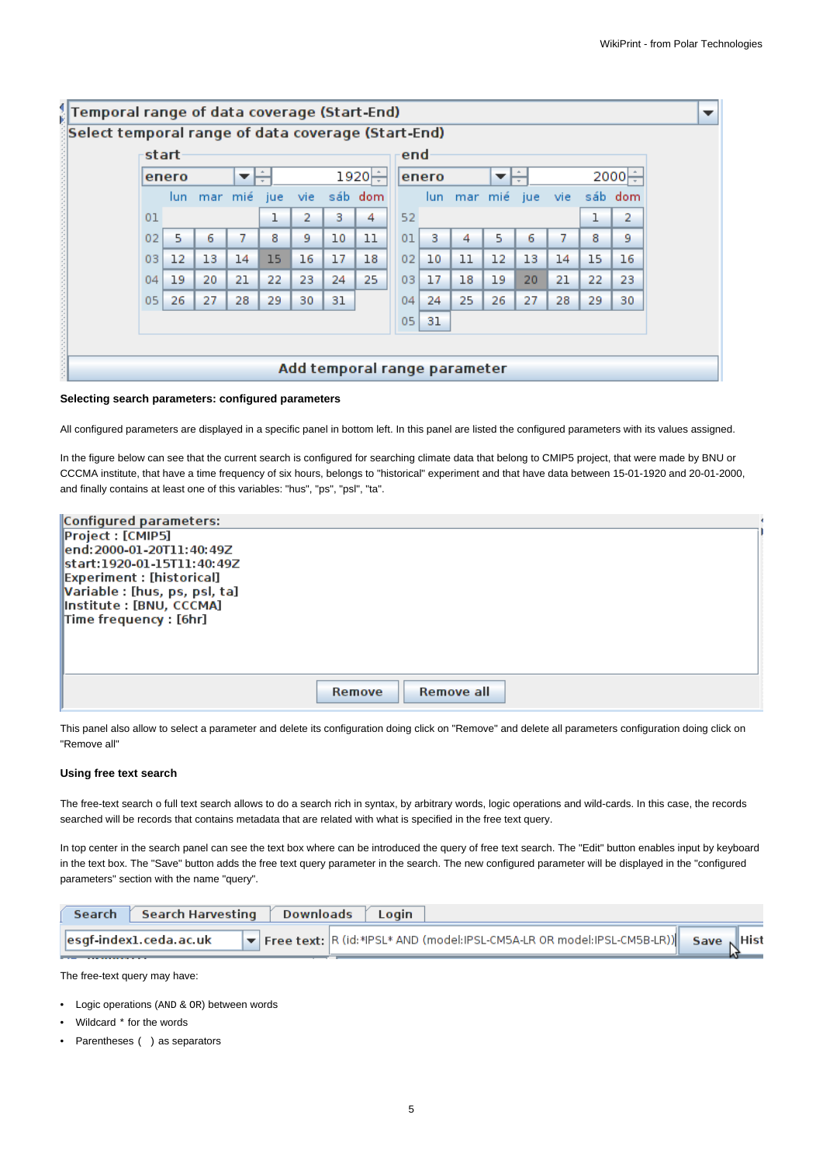| start<br>end<br>1920⊨<br>$2000 -$<br>enero<br>enero<br>$\overline{\phantom{a}}$<br>▼<br>sáb dom<br>mar mié<br>mar mié<br>sáb dom<br>vie.<br>vie:<br>jue<br>jue<br>lun.<br>lun.<br>52<br>ı<br>ı<br>2<br>з<br>4<br>01<br>5<br>10<br>5<br>7<br>8<br>9<br>11<br>8<br>02<br>6<br>з<br>6<br>7<br>01<br>4<br>15<br>17<br>02<br>15<br>$12 \overline{ }$<br>13<br>14<br>16<br>18<br>10<br>11<br>12<br>13<br>14<br>03 |  |  |  |  |  |  |  | Select temporal range of data coverage (Start-End) |  |  |  |  |                |  |  |  |
|-------------------------------------------------------------------------------------------------------------------------------------------------------------------------------------------------------------------------------------------------------------------------------------------------------------------------------------------------------------------------------------------------------------|--|--|--|--|--|--|--|----------------------------------------------------|--|--|--|--|----------------|--|--|--|
|                                                                                                                                                                                                                                                                                                                                                                                                             |  |  |  |  |  |  |  |                                                    |  |  |  |  |                |  |  |  |
|                                                                                                                                                                                                                                                                                                                                                                                                             |  |  |  |  |  |  |  |                                                    |  |  |  |  |                |  |  |  |
|                                                                                                                                                                                                                                                                                                                                                                                                             |  |  |  |  |  |  |  |                                                    |  |  |  |  |                |  |  |  |
|                                                                                                                                                                                                                                                                                                                                                                                                             |  |  |  |  |  |  |  |                                                    |  |  |  |  | $\overline{2}$ |  |  |  |
|                                                                                                                                                                                                                                                                                                                                                                                                             |  |  |  |  |  |  |  |                                                    |  |  |  |  | 9.             |  |  |  |
|                                                                                                                                                                                                                                                                                                                                                                                                             |  |  |  |  |  |  |  |                                                    |  |  |  |  | 16             |  |  |  |
| 25<br>19<br>20<br>21<br>22<br>24<br>17<br>18<br>21<br>22<br>23<br>03<br>19<br>20<br>04                                                                                                                                                                                                                                                                                                                      |  |  |  |  |  |  |  |                                                    |  |  |  |  | 23             |  |  |  |
| 26<br>27<br>25<br>26<br>05 <sub>1</sub><br>28<br>29<br>31<br>24<br>27<br>28<br>29<br>30<br>04                                                                                                                                                                                                                                                                                                               |  |  |  |  |  |  |  |                                                    |  |  |  |  | 30             |  |  |  |
| 31<br>05                                                                                                                                                                                                                                                                                                                                                                                                    |  |  |  |  |  |  |  |                                                    |  |  |  |  |                |  |  |  |

#### **Selecting search parameters: configured parameters**

All configured parameters are displayed in a specific panel in bottom left. In this panel are listed the configured parameters with its values assigned.

In the figure below can see that the current search is configured for searching climate data that belong to CMIP5 project, that were made by BNU or CCCMA institute, that have a time frequency of six hours, belongs to "historical" experiment and that have data between 15-01-1920 and 20-01-2000, and finally contains at least one of this variables: "hus", "ps", "psl", "ta".

| Configured parameters:             |                      |  |
|------------------------------------|----------------------|--|
| Project : [CMIP5]                  |                      |  |
| lend: 2000-01-20T11: 40: 49Z       |                      |  |
| start:1920-01-15T11:40:49Z         |                      |  |
| <b>Experiment : [historical]</b>   |                      |  |
| Variable : [hus, ps, psl, ta]      |                      |  |
| Institute : [BNU, CCCMA]           |                      |  |
| $\mathsf{Time\, frequency}:$ [6hr] |                      |  |
|                                    |                      |  |
|                                    |                      |  |
|                                    |                      |  |
|                                    |                      |  |
|                                    | Remove all<br>Remove |  |

This panel also allow to select a parameter and delete its configuration doing click on "Remove" and delete all parameters configuration doing click on "Remove all"

#### **Using free text search**

The free-text search o full text search allows to do a search rich in syntax, by arbitrary words, logic operations and wild-cards. In this case, the records searched will be records that contains metadata that are related with what is specified in the free text query.

In top center in the search panel can see the text box where can be introduced the query of free text search. The "Edit" button enables input by keyboard in the text box. The "Save" button adds the free text query parameter in the search. The new configured parameter will be displayed in the "configured parameters" section with the name "query".

| <b>Search</b> | Search Harvesting                                                                                   | Downloads Login                                                              |  |
|---------------|-----------------------------------------------------------------------------------------------------|------------------------------------------------------------------------------|--|
|               | $\left\  \mathsf{esgf\text{-}index1}. \mathsf{ceda}\text{-}\mathsf{ac}\text{-}\mathsf{uk} \right\ $ | Free text: R (id:*IPSL* AND (model:IPSL-CM5A-LR OR model:IPSL-CM5B-LR)) Save |  |

The free-text query may have:

- Logic operations (AND & OR) between words
- Wildcard \* for the words
- Parentheses ( ) as separators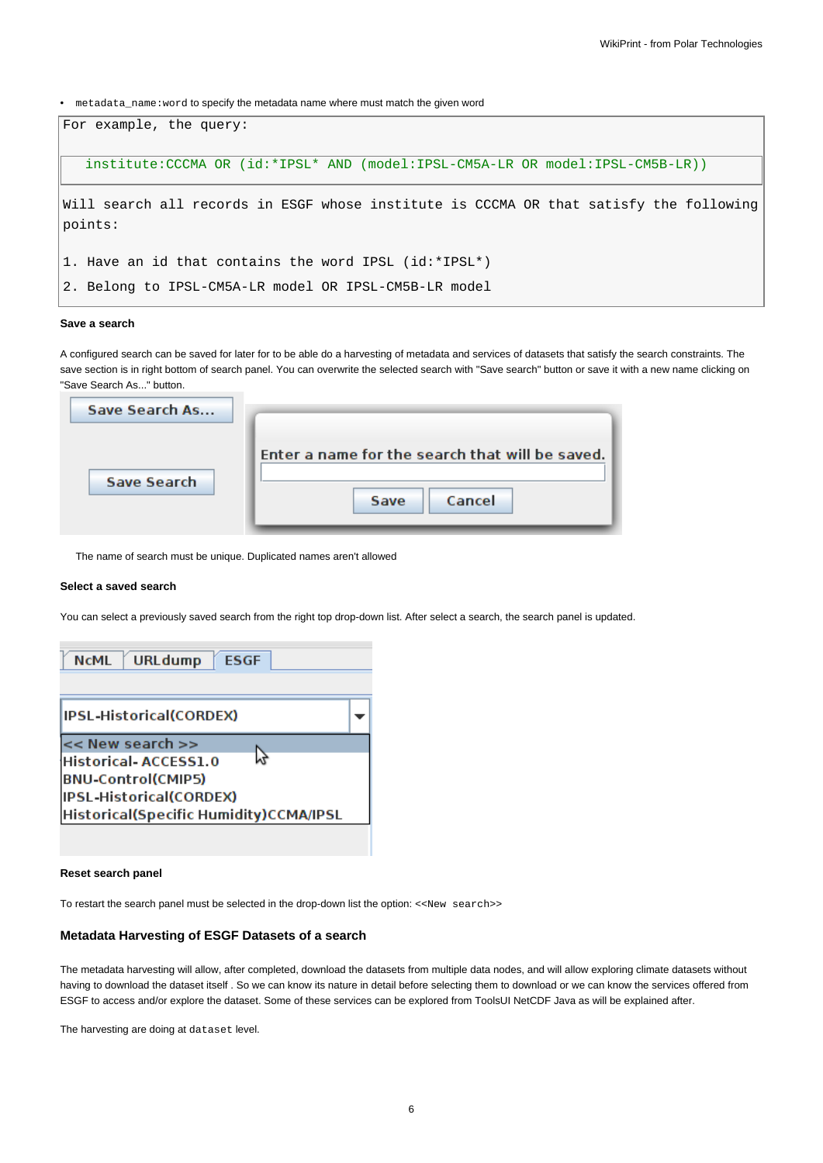• metadata\_name:word to specify the metadata name where must match the given word



# **Save a search**

A configured search can be saved for later for to be able do a harvesting of metadata and services of datasets that satisfy the search constraints. The save section is in right bottom of search panel. You can overwrite the selected search with "Save search" button or save it with a new name clicking on "Save Search As..." button.

| Save Search As     |                                                                   |
|--------------------|-------------------------------------------------------------------|
| <b>Save Search</b> | Enter a name for the search that will be saved.<br>Cancel<br>Save |

The name of search must be unique. Duplicated names aren't allowed

#### **Select a saved search**

You can select a previously saved search from the right top drop-down list. After select a search, the search panel is updated.

| URLdump <b>ESGF</b><br><b>NCML</b>                                                                                                                 |  |
|----------------------------------------------------------------------------------------------------------------------------------------------------|--|
| IPSL-Historical(CORDEX)                                                                                                                            |  |
| $\prec$ New search $\gt$<br>Historical-ACCESS1.0<br><b>BNU-Control(CMIP5)</b><br>IPSL-Historical(CORDEX)<br>Historical(Specific Humidity)CCMA/IPSL |  |

## **Reset search panel**

To restart the search panel must be selected in the drop-down list the option: <<New search>>

#### **Metadata Harvesting of ESGF Datasets of a search**

The metadata harvesting will allow, after completed, download the datasets from multiple data nodes, and will allow exploring climate datasets without having to download the dataset itself . So we can know its nature in detail before selecting them to download or we can know the services offered from ESGF to access and/or explore the dataset. Some of these services can be explored from ToolsUI NetCDF Java as will be explained after.

The harvesting are doing at dataset level.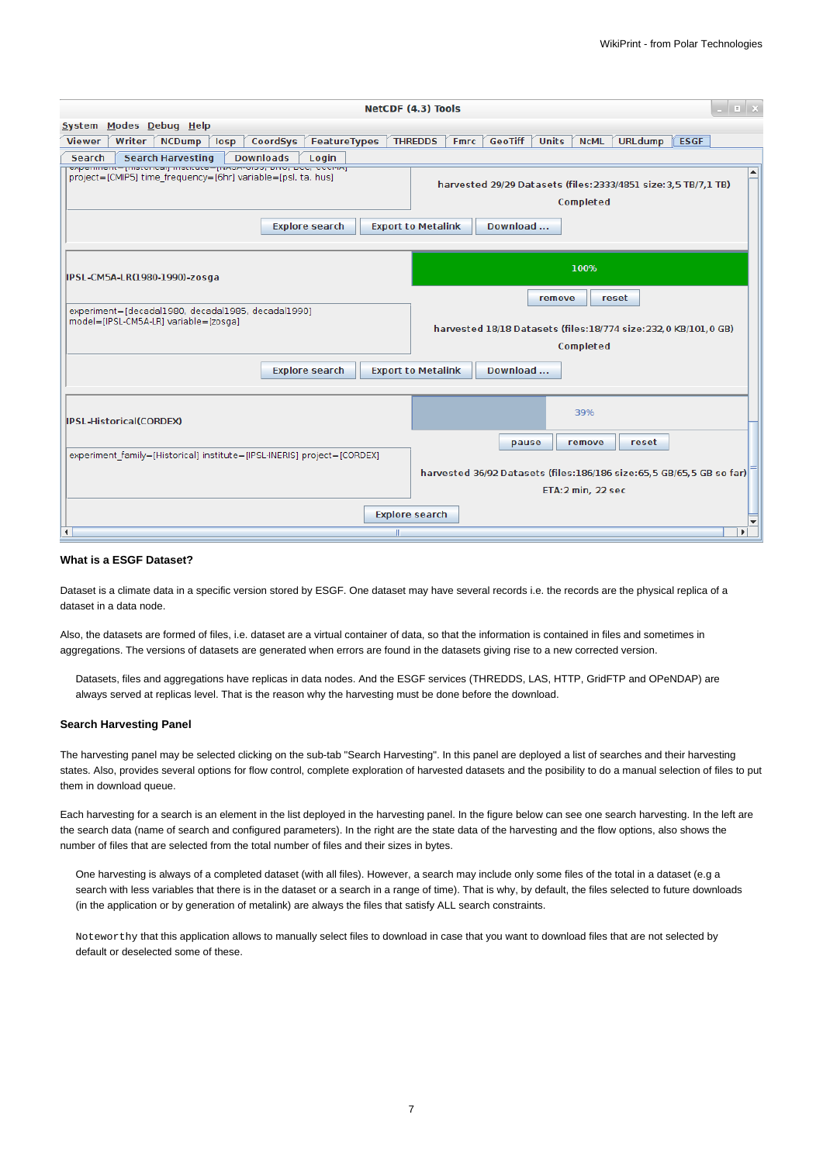|                                                                                                                                                            | $\vert$ $\vert$ $\vert$ $\times$<br>NetCDF (4.3) Tools                                                                                  |
|------------------------------------------------------------------------------------------------------------------------------------------------------------|-----------------------------------------------------------------------------------------------------------------------------------------|
| System Modes Debug Help                                                                                                                                    |                                                                                                                                         |
| CoordSys<br><b>Viewer</b><br>Writer<br>losp<br>FeatureTypes<br><b>NCDump</b>                                                                               | <b>GeoTiff</b><br><b>Units</b><br><b>ESGF</b><br><b>THREDDS</b><br><b>NCML</b><br><b>URLdump</b><br><b>Fmrc</b>                         |
| Search<br><b>Search Harvesting</b><br><b>Downloads</b><br>Login                                                                                            |                                                                                                                                         |
| experiment= [mstoncar] institute= [ivAJA-0iJJ, pivo, pcc, cccmAj]<br>project=[CMIP5] time frequency=[6hr] variable=[psl, ta, hus]<br><b>Explore search</b> | $\hat{=}$<br>harvested 29/29 Datasets (files: 2333/4851 size: 3,5 TB/7,1 TB)<br>Completed<br><b>Export to Metalink</b><br>Download      |
| IPSL-CM5A-LR(1980-1990)-zosga                                                                                                                              | 100%                                                                                                                                    |
| experiment=[decadal1980, decadal1985, decadal1990]<br>model=[IPSL-CM5A-LR] variable=[zosga]<br><b>Explore search</b>                                       | reset<br>remove<br>harvested 18/18 Datasets (files:18/774 size:232,0 KB/101,0 GB)<br>Completed<br>Download<br><b>Export to Metalink</b> |
| IPSL-Historical(CORDEX)                                                                                                                                    | 39%                                                                                                                                     |
| experiment family=[Historical] institute=[IPSL-INERIS] project=[CORDEX]                                                                                    | pause<br>remove<br>reset<br>harvested 36/92 Datasets (files:186/186 size:65,5 GB/65,5 GB so far)<br>ETA:2 min, 22 sec                   |
| $\blacktriangleleft$<br>Ш                                                                                                                                  | <b>Explore search</b><br>ь                                                                                                              |

#### **What is a ESGF Dataset?**

Dataset is a climate data in a specific version stored by ESGF. One dataset may have several records i.e. the records are the physical replica of a dataset in a data node.

Also, the datasets are formed of files, i.e. dataset are a virtual container of data, so that the information is contained in files and sometimes in aggregations. The versions of datasets are generated when errors are found in the datasets giving rise to a new corrected version.

Datasets, files and aggregations have replicas in data nodes. And the ESGF services (THREDDS, LAS, HTTP, GridFTP and OPeNDAP) are always served at replicas level. That is the reason why the harvesting must be done before the download.

#### **Search Harvesting Panel**

The harvesting panel may be selected clicking on the sub-tab "Search Harvesting". In this panel are deployed a list of searches and their harvesting states. Also, provides several options for flow control, complete exploration of harvested datasets and the posibility to do a manual selection of files to put them in download queue.

Each harvesting for a search is an element in the list deployed in the harvesting panel. In the figure below can see one search harvesting. In the left are the search data (name of search and configured parameters). In the right are the state data of the harvesting and the flow options, also shows the number of files that are selected from the total number of files and their sizes in bytes.

One harvesting is always of a completed dataset (with all files). However, a search may include only some files of the total in a dataset (e.g a search with less variables that there is in the dataset or a search in a range of time). That is why, by default, the files selected to future downloads (in the application or by generation of metalink) are always the files that satisfy ALL search constraints.

Noteworthy that this application allows to manually select files to download in case that you want to download files that are not selected by default or deselected some of these.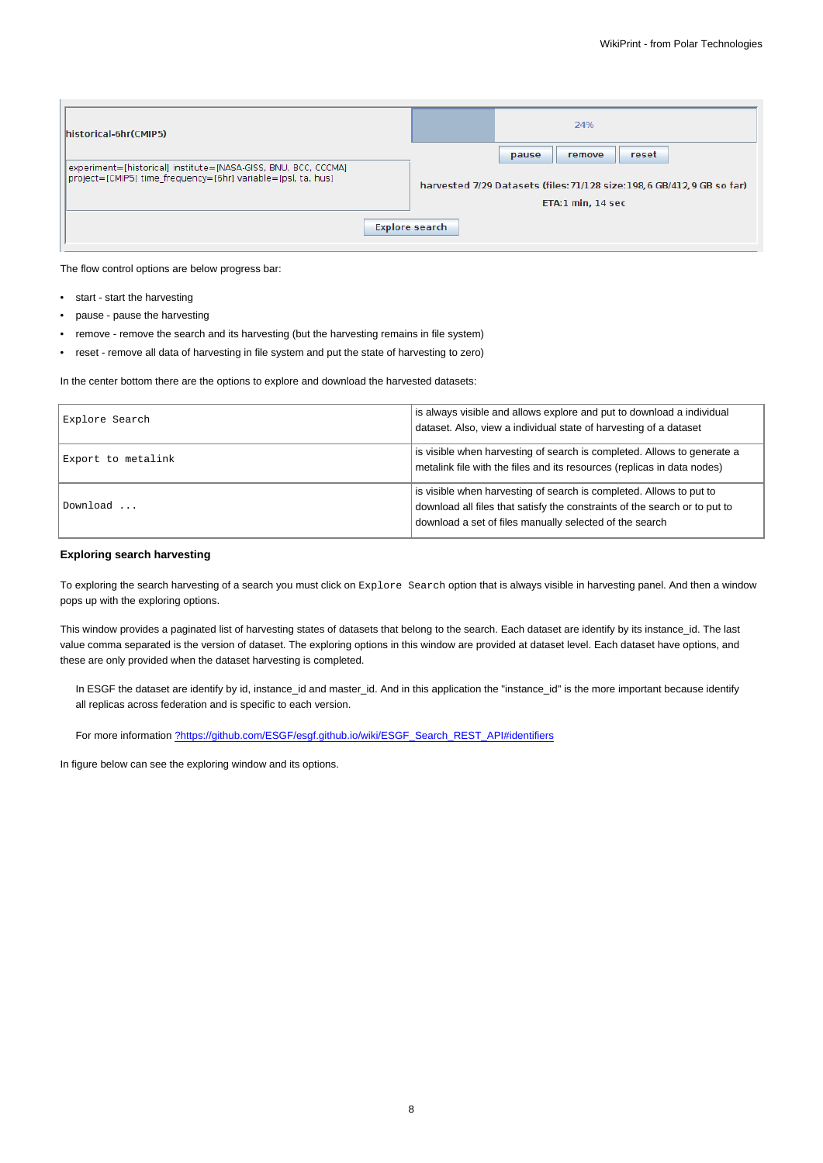| historical-6hr(CMIP5)                                                                                                          | 24%                                                                                           |
|--------------------------------------------------------------------------------------------------------------------------------|-----------------------------------------------------------------------------------------------|
|                                                                                                                                | reset<br>pause<br>remove                                                                      |
| experiment=[historical] institute=[NASA-GISS, BNU, BCC, CCCMA]<br>project=[CMIP5] time frequency=[6hr] variable=[psl, ta, hus] | harvested 7/29 Datasets (files: 71/128 size: 198, 6 GB/412, 9 GB so far)<br>ETA:1 min, 14 sec |
|                                                                                                                                | Explore search                                                                                |
|                                                                                                                                |                                                                                               |

The flow control options are below progress bar:

- start start the harvesting
- pause pause the harvesting
- remove remove the search and its harvesting (but the harvesting remains in file system)
- reset remove all data of harvesting in file system and put the state of harvesting to zero)

In the center bottom there are the options to explore and download the harvested datasets:

| Explore Search     | is always visible and allows explore and put to download a individual<br>dataset. Also, view a individual state of harvesting of a dataset                                                                   |
|--------------------|--------------------------------------------------------------------------------------------------------------------------------------------------------------------------------------------------------------|
| Export to metalink | is visible when harvesting of search is completed. Allows to generate a<br>metalink file with the files and its resources (replicas in data nodes)                                                           |
| Download           | is visible when harvesting of search is completed. Allows to put to<br>download all files that satisfy the constraints of the search or to put to<br>download a set of files manually selected of the search |

# **Exploring search harvesting**

To exploring the search harvesting of a search you must click on Explore Search option that is always visible in harvesting panel. And then a window pops up with the exploring options.

This window provides a paginated list of harvesting states of datasets that belong to the search. Each dataset are identify by its instance id. The last value comma separated is the version of dataset. The exploring options in this window are provided at dataset level. Each dataset have options, and these are only provided when the dataset harvesting is completed.

In ESGF the dataset are identify by id, instance\_id and master\_id. And in this application the "instance\_id" is the more important because identify all replicas across federation and is specific to each version.

For more information [?https://github.com/ESGF/esgf.github.io/wiki/ESGF\\_Search\\_REST\\_API#identifiers](https://github.com/ESGF/esgf.github.io/wiki/ESGF_Search_REST_API#identifiers)

In figure below can see the exploring window and its options.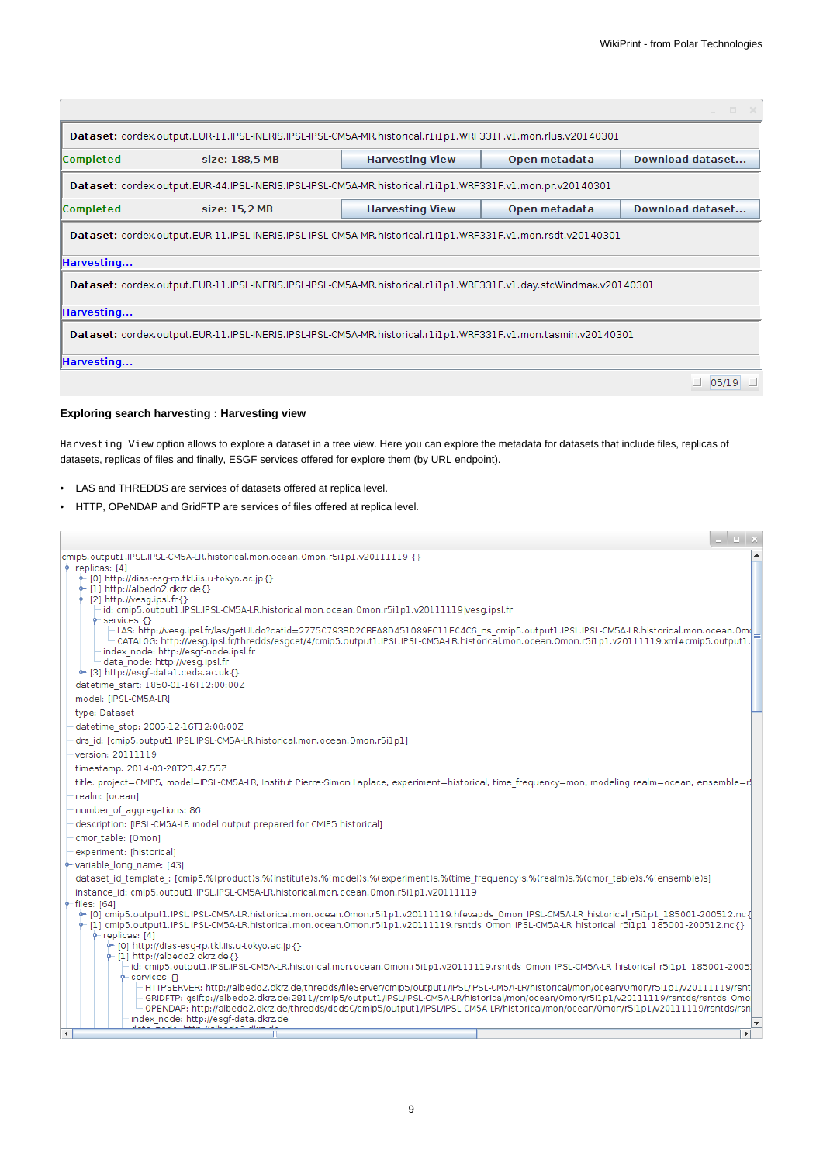|                                                                                                                   |                |                        |               | $\infty$         |  |  |  |  |  |
|-------------------------------------------------------------------------------------------------------------------|----------------|------------------------|---------------|------------------|--|--|--|--|--|
| Dataset: cordex.output.EUR-11.IPSL-INERIS.IPSL-IPSL-CM5A-MR.historical.r1i1p1.WRF331F.v1.mon.rlus.v20140301       |                |                        |               |                  |  |  |  |  |  |
| <b>Completed</b>                                                                                                  | size: 188,5 MB | <b>Harvesting View</b> | Open metadata | Download dataset |  |  |  |  |  |
| Dataset: cordex.output.EUR-44.IPSL-INERIS.IPSL-IPSL-CM5A-MR.historical.r1i1p1.WRF331F.v1.mon.pr.v20140301         |                |                        |               |                  |  |  |  |  |  |
| <b>Completed</b>                                                                                                  | size: 15.2 MB  | <b>Harvesting View</b> | Open metadata | Download dataset |  |  |  |  |  |
| Dataset: cordex.output.EUR-11.IPSL-INERIS.IPSL-IPSL-CM5A-MR.historical.r1i1p1.WRF331F.v1.mon.rsdt.v20140301       |                |                        |               |                  |  |  |  |  |  |
| Harvesting                                                                                                        |                |                        |               |                  |  |  |  |  |  |
| Dataset: cordex.output.EUR-11.IPSL-INERIS.IPSL-IPSL-CM5A-MR.historical.r1i1p1.WRF331F.v1.day.sfcWindmax.v20140301 |                |                        |               |                  |  |  |  |  |  |
| Harvesting                                                                                                        |                |                        |               |                  |  |  |  |  |  |
| Dataset: cordex.output.EUR-11.IPSL-INERIS.IPSL-IPSL-CM5A-MR.historical.r1i1p1.WRF331F.v1.mon.tasmin.v20140301     |                |                        |               |                  |  |  |  |  |  |
| Harvesting                                                                                                        |                |                        |               |                  |  |  |  |  |  |
|                                                                                                                   |                |                        |               | 05/19            |  |  |  |  |  |

# **Exploring search harvesting : Harvesting view**

Harvesting View option allows to explore a dataset in a tree view. Here you can explore the metadata for datasets that include files, replicas of datasets, replicas of files and finally, ESGF services offered for explore them (by URL endpoint).

- LAS and THREDDS are services of datasets offered at replica level.
- HTTP, OPeNDAP and GridFTP are services of files offered at replica level.

|                                                                                                                                                                                                                                                                                                                                                                                                                                                            | - II X       |  |
|------------------------------------------------------------------------------------------------------------------------------------------------------------------------------------------------------------------------------------------------------------------------------------------------------------------------------------------------------------------------------------------------------------------------------------------------------------|--------------|--|
| cmip5.output1.IPSL.IPSL-CM5A-LR.historical.mon.ocean.Omon.r5i1p1.v20111119 {}                                                                                                                                                                                                                                                                                                                                                                              |              |  |
| $\phi$ -replicas: [4]<br>• [0] http://dias-esq-rp.tkl.iis.u-tokyo.ac.jp {}                                                                                                                                                                                                                                                                                                                                                                                 |              |  |
| $\leftarrow$ [1] http://albedo2.dkrz.de{}                                                                                                                                                                                                                                                                                                                                                                                                                  |              |  |
| $\phi$ -[2] http://vesq.ipsl.fr{}<br>id: cmip5.output1.IPSL.IPSL-CM5A-LR.historical.mon.ocean.Omon.r5i1p1.v20111119/vesq.ipsl.fr                                                                                                                                                                                                                                                                                                                           |              |  |
| $\leftarrow$ services $\left\{ \right\}$<br>-LAS: http://vesq.ipsl.fr/las/qetUl.do?catid=2775C793BD2CBFA8D451089FC11EC4C6 ns cmip5.output1.IPSL.IPSL-CM5A-LR.historical.mon.ocean.Om(<br>- CATALOG: http://vesg.ipsl.fr/thredds/esgcet/4/cmip5.output1.IPSL.IPSL-CM5A-LR.historical.mon.ocean.Omon.r5i1p1.v20111119.xml#cmip5.output1.<br>- index node: http://esgf-node.ipsl.fr<br>data node: http://vesg.ipsl.fr<br>• [3] http://esqf-data1.ceda.ac.uk{} |              |  |
| datetime start: 1850-01-16T12:00:00Z                                                                                                                                                                                                                                                                                                                                                                                                                       |              |  |
| model: [IPSL-CM5A-LR]                                                                                                                                                                                                                                                                                                                                                                                                                                      |              |  |
| type: Dataset                                                                                                                                                                                                                                                                                                                                                                                                                                              |              |  |
| datetime stop: 2005-12-16T12:00:00Z                                                                                                                                                                                                                                                                                                                                                                                                                        |              |  |
| drs id: [cmip5.output1.IPSL.IPSL-CM5A-LR.historical.mon.ocean.Omon.r5i1p1]                                                                                                                                                                                                                                                                                                                                                                                 |              |  |
| version: 20111119                                                                                                                                                                                                                                                                                                                                                                                                                                          |              |  |
| timestamp: 2014-03-28T23:47:55Z                                                                                                                                                                                                                                                                                                                                                                                                                            |              |  |
| title: project=CMIP5, model=IPSL-CM5A-LR, Institut Pierre-Simon Laplace, experiment=historical, time frequency=mon, modeling realm=ocean, ensemble=r                                                                                                                                                                                                                                                                                                       |              |  |
| realm: Tocean1                                                                                                                                                                                                                                                                                                                                                                                                                                             |              |  |
| number of aggregations: 86                                                                                                                                                                                                                                                                                                                                                                                                                                 |              |  |
| description: [IPSL-CM5A-LR model output prepared for CMIP5 historical]                                                                                                                                                                                                                                                                                                                                                                                     |              |  |
| cmor table: [Omon]                                                                                                                                                                                                                                                                                                                                                                                                                                         |              |  |
| experiment: [historical]                                                                                                                                                                                                                                                                                                                                                                                                                                   |              |  |
| • variable long name: [43]                                                                                                                                                                                                                                                                                                                                                                                                                                 |              |  |
| dataset_id_template_: [cmip5.%(product)s.%(institute)s.%(model)s.%(experiment)s.%(time_frequency)s.%(realm)s.%(cmor_table)s.%(ensemble)s]                                                                                                                                                                                                                                                                                                                  |              |  |
| instance id: cmip5.output1.IPSL.IPSL-CM5A-LR.historical.mon.ocean.Omon.r5i1p1.v20111119                                                                                                                                                                                                                                                                                                                                                                    |              |  |
| $\div$ files: [64]<br>• [0] cmip5.output1.IPSL.IPSL-CM5A-LR.historical.mon.ocean.Omon.r5i1p1.v20111119.hfevapds Omon IPSL-CM5A-LR historical r5i1p1 185001-200512.nc {<br>†-{1} cmip5.output1.IPSL.IPSL-CM5A-LR.historical.mon.ocean.Omon.r5i1p1.v20111119.rsntds_Omon_IPSL-CM5A-LR_historical_r5i1p1_185001-200512.nc{}<br>$\phi$ -replicas: [4]<br>• [0] http://dias-esg-rp.tkl.iis.u-tokyo.ac.jp {}                                                     |              |  |
| $\leftarrow$ [1] http://albedo2.dkrz.de{}                                                                                                                                                                                                                                                                                                                                                                                                                  |              |  |
| id: cmip5.output1.IPSL.IPSL-CM5A-LR.historical.mon.ocean.Omon.r5i1p1.v20111119.rsntds Omon IPSL-CM5A-LR historical r5i1p1 185001-2005.                                                                                                                                                                                                                                                                                                                     |              |  |
| $9$ -services $\{\}$<br>HTTPSERVER: http://albedo2.dkrz.de/thredds/fileServer/cmip5/output1/IPSL/IPSL-CM5A-LR/historical/mon/ocean/Omon/r5i1p1/v20111119/rsnt<br>GRIDFTP: gsiftp://albedo2.dkrz.de:2811//cmip5/output1/IPSL/IPSL-CM5A-LR/historical/mon/ocean/Omon/r5i1p1/v20111119/rsntds/rsntds Omo<br>OPENDAP: http://albedo2.dkrz.de/thredds/dodsC/cmip5/output1/IPSL/IPSL-CM5A-LR/historical/mon/ocean/Omon/r5i1p1/v20111119/rsntds/rsn               |              |  |
| index node: http://esgf-data.dkrz.de                                                                                                                                                                                                                                                                                                                                                                                                                       |              |  |
| ∢                                                                                                                                                                                                                                                                                                                                                                                                                                                          | $\mathbf{r}$ |  |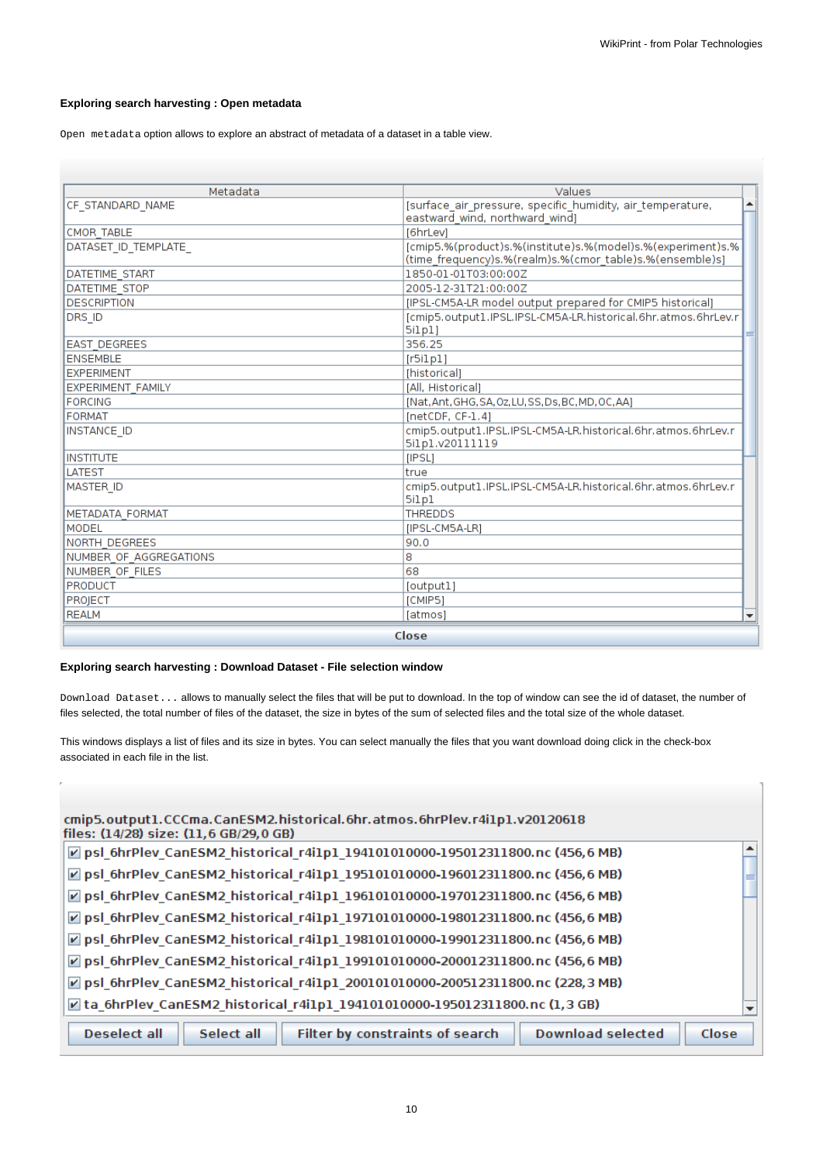# **Exploring search harvesting : Open metadata**

Open metadata option allows to explore an abstract of metadata of a dataset in a table view.

| Metadata                 | Values                                                                           |
|--------------------------|----------------------------------------------------------------------------------|
| CF STANDARD NAME         | [surface air pressure, specific humidity, air temperature,                       |
|                          | eastward wind, northward wind]                                                   |
| <b>CMOR TABLE</b>        | [6hrLev]                                                                         |
| DATASET_ID_TEMPLATE      | [cmip5.%(product)s.%(institute)s.%(model)s.%(experiment)s.%                      |
|                          | (time_frequency)s.%(realm)s.%(cmor_table)s.%(ensemble)s]                         |
| <b>DATETIME START</b>    | 1850-01-01T03:00:00Z                                                             |
| <b>DATETIME STOP</b>     | 2005-12-31T21:00:00Z                                                             |
| <b>DESCRIPTION</b>       | [IPSL-CM5A-LR model output prepared for CMIP5 historical]                        |
| DRS ID                   | [cmip5.output1.IPSL.IPSL-CM5A-LR.historical.6hr.atmos.6hrLev.r<br>5ilp1)         |
| <b>EAST DEGREES</b>      | 356.25                                                                           |
| <b>ENSEMBLE</b>          | [r5i1p1]                                                                         |
| <b>EXPERIMENT</b>        | [historical]                                                                     |
| <b>EXPERIMENT FAMILY</b> | [All, Historical]                                                                |
| <b>FORCING</b>           | [Nat, Ant, GHG, SA, Oz, LU, SS, Ds, BC, MD, OC, AA]                              |
| FORMAT                   | $[netCDF, CF-1.4]$                                                               |
| INSTANCE ID              | cmip5.output1.IPSL.IPSL-CM5A-LR.historical.6hr.atmos.6hrLev.r<br>5ilp1.v20111119 |
| <b>INSTITUTE</b>         | [IPSL]                                                                           |
| <b>LATEST</b>            | true                                                                             |
| <b>MASTER ID</b>         | cmip5.output1.IPSL.IPSL-CM5A-LR.historical.6hr.atmos.6hrLev.r                    |
|                          | 5ilp1                                                                            |
| METADATA FORMAT          | <b>THREDDS</b>                                                                   |
| <b>MODEL</b>             | [IPSL-CM5A-LR]                                                                   |
| INORTH DEGREES           | 90.0                                                                             |
| NUMBER OF AGGREGATIONS   | 8                                                                                |
| NUMBER OF FILES          | 68                                                                               |
| <b>PRODUCT</b>           | [output]                                                                         |
| PROJECT                  | [CMIP5]                                                                          |
| <b>REALM</b>             | [atmos]                                                                          |
|                          | Close                                                                            |

# **Exploring search harvesting : Download Dataset - File selection window**

Download Dataset... allows to manually select the files that will be put to download. In the top of window can see the id of dataset, the number of files selected, the total number of files of the dataset, the size in bytes of the sum of selected files and the total size of the whole dataset.

This windows displays a list of files and its size in bytes. You can select manually the files that you want download doing click in the check-box associated in each file in the list.

| cmip5.output1.CCCma.CanESM2.historical.6hr.atmos.6hrPlev.r4i1p1.v20120618<br>files: (14/28) size: (11,6 GB/29,0 GB) |  |
|---------------------------------------------------------------------------------------------------------------------|--|
| psl_6hrPlev_CanESM2_historical_r4i1p1_194101010000-195012311800.nc (456,6 MB)                                       |  |
| psl_6hrPlev_CanESM2_historical_r4i1p1_195101010000-196012311800.nc (456,6 MB)                                       |  |
| $\triangledown$ psl 6hrPlev CanESM2 historical r4i1p1 196101010000-197012311800.nc (456,6 MB)                       |  |
| ☑ psl_6hrPlev_CanESM2_historical_r4i1p1_197101010000-198012311800.nc (456,6 MB)                                     |  |
| ☑ psl_6hrPlev_CanESM2_historical_r4i1p1_198101010000-199012311800.nc (456,6 MB)                                     |  |
| ☑ psl_6hrPlev_CanESM2_historical_r4i1p1_199101010000-200012311800.nc (456,6 MB)                                     |  |
| $\triangledown$ psl 6hrPlev CanESM2 historical r4i1p1 200101010000-200512311800.nc (228,3 MB)                       |  |
| $\triangledown$ ta 6hrPlev CanESM2 historical r4i1p1 194101010000-195012311800.nc (1,3 GB)                          |  |
| <b>Download selected</b><br><b>Deselect all</b><br>Select all<br>Filter by constraints of search<br>Close           |  |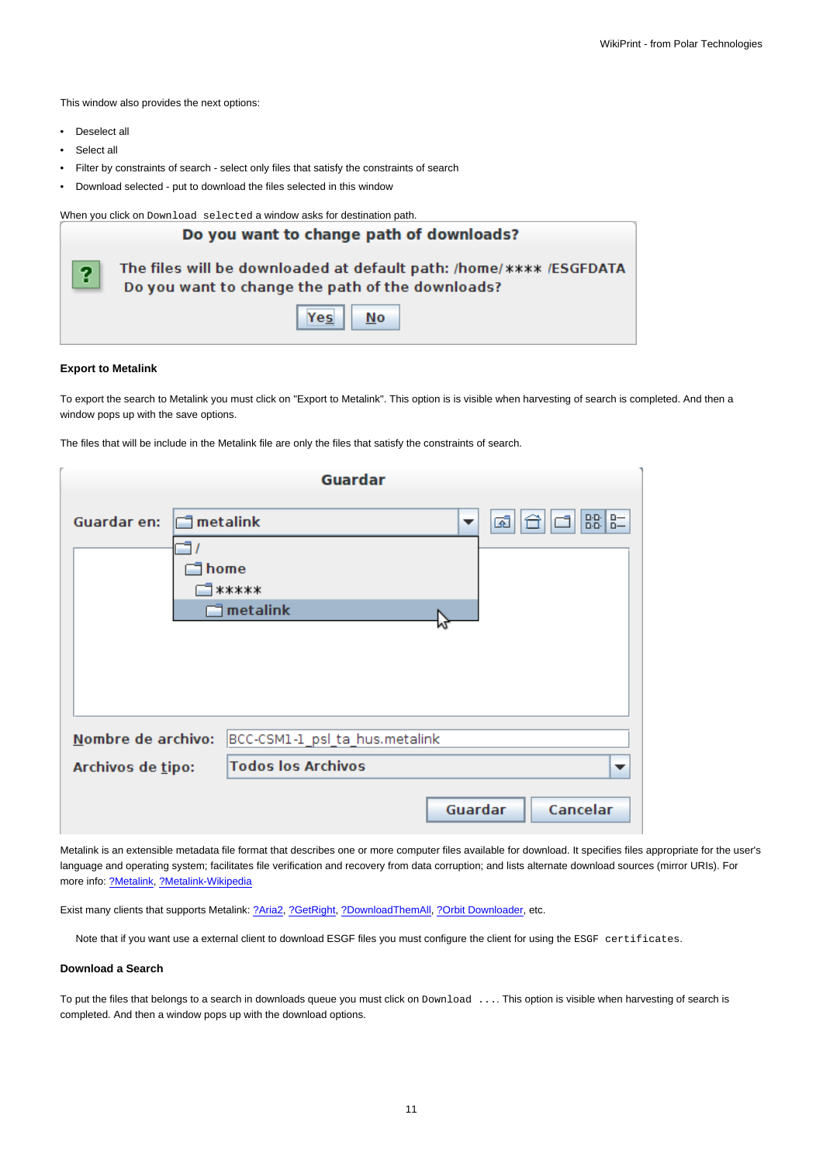This window also provides the next options:

- Deselect all
- Select all
- Filter by constraints of search select only files that satisfy the constraints of search
- Download selected put to download the files selected in this window

When you click on Download selected a window asks for destination path.

|                         | Do you want to change path of downloads?                                                                               |  |  |  |
|-------------------------|------------------------------------------------------------------------------------------------------------------------|--|--|--|
| $\overline{\mathbf{?}}$ | The files will be downloaded at default path: /home/**** /ESGFDATA<br>Do you want to change the path of the downloads? |  |  |  |
|                         | Yes<br>No                                                                                                              |  |  |  |

#### **Export to Metalink**

To export the search to Metalink you must click on "Export to Metalink". This option is is visible when harvesting of search is completed. And then a window pops up with the save options.

The files that will be include in the Metalink file are only the files that satisfy the constraints of search.

|                    | <b>Guardar</b>                   |         |               |  |  |
|--------------------|----------------------------------|---------|---------------|--|--|
| Guardar en:        | $\Box$ metalink                  | ▼       | $B - 8$<br>ශ් |  |  |
|                    |                                  |         |               |  |  |
|                    | home<br>*****                    |         |               |  |  |
|                    | $\overline{\mathbb{I}}$ metalink |         |               |  |  |
|                    |                                  |         |               |  |  |
|                    |                                  |         |               |  |  |
|                    |                                  |         |               |  |  |
| Nombre de archivo: | BCC-CSM1-1_psl_ta_hus.metalink   |         |               |  |  |
| Archivos de tipo:  | <b>Todos los Archivos</b>        |         |               |  |  |
|                    |                                  | Guardar | Cancelar      |  |  |

Metalink is an extensible metadata file format that describes one or more computer files available for download. It specifies files appropriate for the user's language and operating system; facilitates file verification and recovery from data corruption; and lists alternate download sources (mirror URIs). For more info: [?Metalink](http://www.metalinker.org), [?Metalink-Wikipedia](http://en.wikipedia.org/wiki/Metalink)

Exist many clients that supports Metalink: [?Aria2,](http://aria2.sourceforge.net/) [?GetRight,](http://www.getright.com/) [?DownloadThemAll,](http://www.downthemall.net/) [?Orbit Downloader,](http://www.orbitdownloader.com) etc.

Note that if you want use a external client to download ESGF files you must configure the client for using the ESGF certificates.

#### **Download a Search**

To put the files that belongs to a search in downloads queue you must click on Download .... This option is visible when harvesting of search is completed. And then a window pops up with the download options.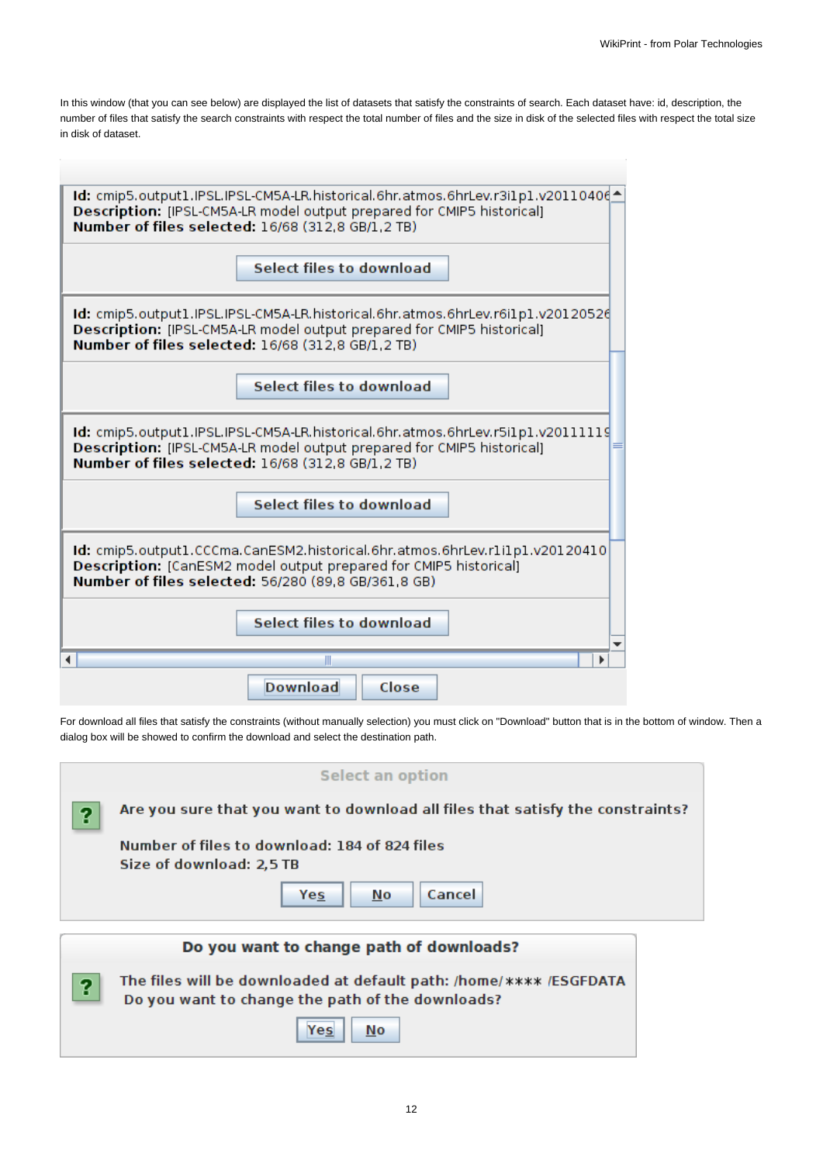In this window (that you can see below) are displayed the list of datasets that satisfy the constraints of search. Each dataset have: id, description, the number of files that satisfy the search constraints with respect the total number of files and the size in disk of the selected files with respect the total size in disk of dataset.

| 1d: cmip5.output1.IPSL.IPSL-CM5A-LR.historical.6hr.atmos.6hrLev.r3i1p1.v201104064<br>Description: [IPSL-CM5A-LR model output prepared for CMIP5 historical]<br>Number of files selected: 16/68 (312.8 GB/1.2 TB) |  |  |  |  |
|------------------------------------------------------------------------------------------------------------------------------------------------------------------------------------------------------------------|--|--|--|--|
| Select files to download                                                                                                                                                                                         |  |  |  |  |
| Id: cmip5.output1.IPSL.IPSL-CM5A-LR.historical.6hr.atmos.6hrLev.r6i1p1.v20120526<br>Description: [IPSL-CM5A-LR model output prepared for CMIP5 historical]<br>Number of files selected: 16/68 (312.8 GB/1.2 TB)  |  |  |  |  |
| <b>Select files to download</b>                                                                                                                                                                                  |  |  |  |  |
| Id: cmip5.output1.IPSL.IPSL-CM5A-LR.historical.6hr.atmos.6hrLev.r5i1p1.v20111119<br>Description: [IPSL-CM5A-LR model output prepared for CMIP5 historical]<br>Number of files selected: 16/68 (312.8 GB/1.2 TB)  |  |  |  |  |
| <b>Select files to download</b>                                                                                                                                                                                  |  |  |  |  |
| Id: cmip5.output1.CCCma.CanESM2.historical.6hr.atmos.6hrLev.r1i1p1.v20120410<br>Description: [CanESM2 model output prepared for CMIP5 historical]<br>Number of files selected: 56/280 (89.8 GB/361.8 GB)         |  |  |  |  |
| <b>Select files to download</b>                                                                                                                                                                                  |  |  |  |  |
|                                                                                                                                                                                                                  |  |  |  |  |
| Close<br><b>Download</b>                                                                                                                                                                                         |  |  |  |  |

For download all files that satisfy the constraints (without manually selection) you must click on "Download" button that is in the bottom of window. Then a dialog box will be showed to confirm the download and select the destination path.

|   | <b>Select an option</b>                                                                                                |  |
|---|------------------------------------------------------------------------------------------------------------------------|--|
| 9 | Are you sure that you want to download all files that satisfy the constraints?                                         |  |
|   | Number of files to download: 184 of 824 files<br>Size of download: 2,5 TB                                              |  |
|   | Cancel<br>No<br>Yes                                                                                                    |  |
|   | Do you want to change path of downloads?                                                                               |  |
| 9 | The files will be downloaded at default path: /home/**** /ESGFDATA<br>Do you want to change the path of the downloads? |  |
|   | No<br>Yes                                                                                                              |  |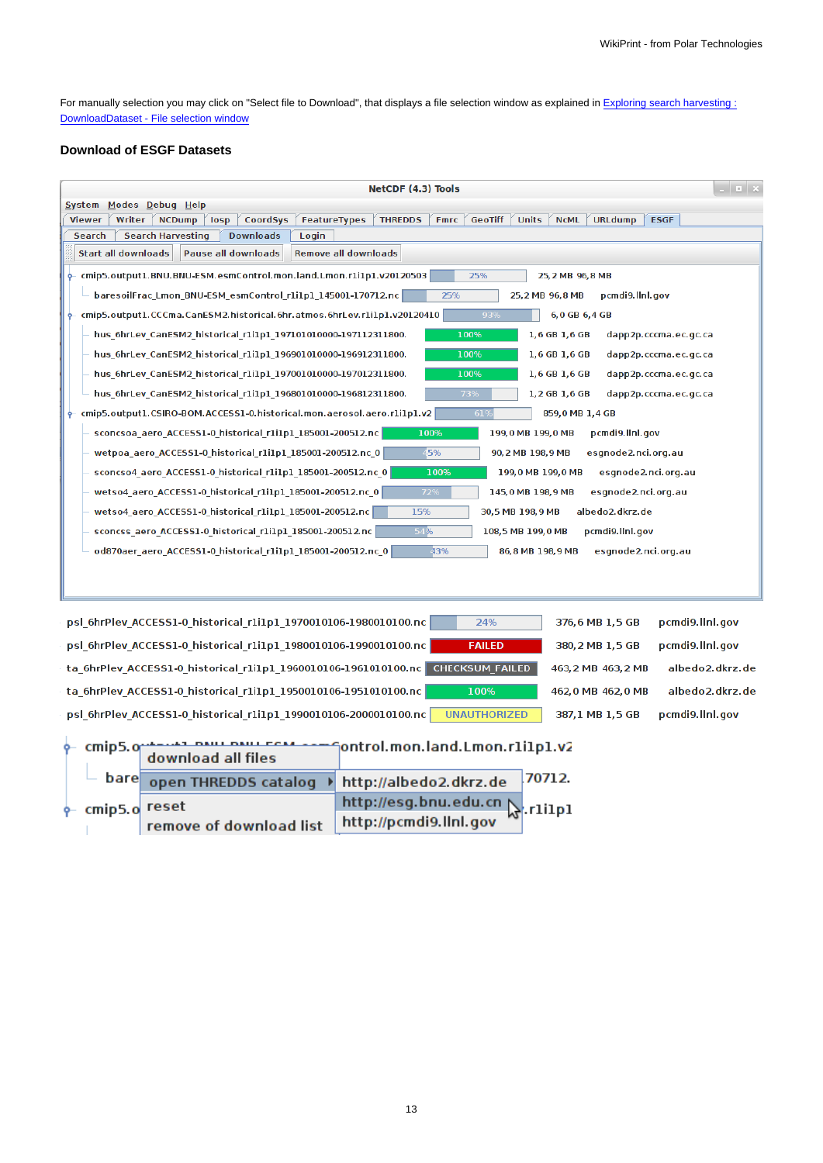For manually selection you may click on "Select file to Download", that displays a file selection window as explained in [Exploring search harvesting :](https://meteo.unican.es/trac/wiki/ESGFToolsUI_Manual#Exploringsearchharvesting:DownloadDataset-Fileselectionwindow) [DownloadDataset - File selection window](https://meteo.unican.es/trac/wiki/ESGFToolsUI_Manual#Exploringsearchharvesting:DownloadDataset-Fileselectionwindow)

# **Download of ESGF Datasets**

| $  \times$<br>NetCDF (4.3) Tools                                                                                                                                                         |  |  |  |
|------------------------------------------------------------------------------------------------------------------------------------------------------------------------------------------|--|--|--|
| System Modes Debug Help                                                                                                                                                                  |  |  |  |
| CoordSys<br><b>THREDDS</b><br><b>Fmrc</b><br><b>GeoTiff</b><br><b>Units</b><br><b>NCML</b><br><b>URLdump</b><br><b>ESGF</b><br>Writer<br><b>NCDump</b><br>losp<br>FeatureTypes<br>Viewer |  |  |  |
| <b>Search Harvesting</b><br><b>Downloads</b><br>Search<br>Login                                                                                                                          |  |  |  |
| <b>Start all downloads</b><br><b>Pause all downloads</b><br><b>Remove all downloads</b>                                                                                                  |  |  |  |
| cmip5.output1.BNU.BNU-ESM.esmControl.mon.land.Lmon.rli1p1.v20120503<br>25%<br>25, 2 MB 96, 8 MB                                                                                          |  |  |  |
| 25%<br>baresoilFrac Lmon BNU-ESM esmControl r1i1p1 145001-170712.nc<br>25, 2 MB 96, 8 MB<br>pcmdi9.llnl.gov                                                                              |  |  |  |
| cmip5.output1.CCCma.CanESM2.historical.6hr.atmos.6hrLev.r1i1p1.v20120410<br>93%<br>6,0 GB 6,4 GB                                                                                         |  |  |  |
| 100%<br>1,6 GB 1,6 GB<br>hus 6hrLev CanESM2 historical r1i1p1 197101010000-197112311800.<br>dapp2p.cccma.ec.gc.ca                                                                        |  |  |  |
| hus 6hrLev CanESM2 historical r1i1p1 196901010000-196912311800.<br>100%<br>1,6 GB 1,6 GB<br>dapp2p.cccma.ec.gc.ca                                                                        |  |  |  |
| hus 6hrLev CanESM2 historical r1i1p1 197001010000-197012311800.<br>100%<br>1,6 GB 1,6 GB<br>dapp2p.cccma.ec.gc.ca                                                                        |  |  |  |
| 73%<br>hus 6hrLev CanESM2 historical r1i1p1 196801010000-196812311800.<br>1,2 GB 1,6 GB<br>dapp2p.cccma.ec.gc.ca                                                                         |  |  |  |
| cmip5.output1.CSIRO-BOM.ACCESS1-0.historical.mon.aerosol.aero.r1i1p1.v2<br>$-61%$<br>859,0 MB 1,4 GB<br>ዯ                                                                                |  |  |  |
| 100%<br>199,0 MB 199,0 MB<br>pcmdi9.llnl.gov<br>sconcsoa aero ACCESS1-0 historical r1i1p1 185001-200512.nc                                                                               |  |  |  |
| wetpoa aero ACCESS1-0 historical r1i1p1 185001-200512.nc 0<br>45%<br>90, 2 MB 198, 9 MB<br>esgnode2.nci.org.au                                                                           |  |  |  |
| sconcso4_aero_ACCESS1-0_historical_r1i1p1_185001-200512.nc_0<br>100%<br>199,0 MB 199,0 MB<br>esgnode2.nci.org.au                                                                         |  |  |  |
| wetso4_aero_ACCESS1-0_historical_r1i1p1_185001-200512.nc_0<br>72%<br>145,0 MB 198,9 MB<br>esgnode2.nci.org.au                                                                            |  |  |  |
| 15%<br>wetso4_aero_ACCESS1-0_historical_r1i1p1_185001-200512.nc<br>30,5 MB 198,9 MB<br>albedo2.dkrz.de                                                                                   |  |  |  |
| 54%<br>pcmdi9.llnl.gov<br>sconcss_aero_ACCESS1-0_historical_r1i1p1_185001-200512.nc<br>108,5 MB 199,0 MB                                                                                 |  |  |  |
| 43%<br>od870aer_aero_ACCESS1-0_historical_r1i1p1_185001-200512.nc_0<br>86, 8 MB 198, 9 MB<br>esgnode2.nci.org.au                                                                         |  |  |  |
|                                                                                                                                                                                          |  |  |  |
|                                                                                                                                                                                          |  |  |  |
|                                                                                                                                                                                          |  |  |  |
| psl_6hrPlev_ACCESS1-0_historical_r1i1p1_1970010106-1980010100.nc<br>24%<br>376,6 MB 1,5 GB<br>pcmdi9.llnl.gov                                                                            |  |  |  |
| psl 6hrPlev ACCESS1-0 historical r1i1p1 1980010106-1990010100.nc<br><b>FAILED</b><br>380, 2 MB 1, 5 GB<br>pcmdi9.llnl.gov                                                                |  |  |  |
| <b>CHECKSUM FAILED</b><br>albedo2.dkrz.de<br>ta_6hrPlev_ACCESS1-0_historical_r1i1p1_1960010106-1961010100.nc<br>463, 2 MB 463, 2 MB                                                      |  |  |  |
| albedo2.dkrz.de<br>ta 6hrPlev ACCESS1-0 historical r1i1p1 1950010106-1951010100.nc<br>100%<br>462,0 MB 462,0 MB                                                                          |  |  |  |
| psl 6hrPlev ACCESS1-0 historical r1i1p1 1990010106-2000010100.nc<br><b>UNAUTHORIZED</b><br>387,1 MB 1,5 GB<br>pcmdi9.llnl.gov                                                            |  |  |  |
| cmip5.org/news/news/news/cease-megontrol.mon.land.Lmon.rli1p1.v2<br>download all files                                                                                                   |  |  |  |
| 70712<br>bare<br>sen TUDEDDE estaten. N. http://alberta? diver de                                                                                                                        |  |  |  |

|                       |  | $-$ bare open THREDDS catalog $\rightarrow$ http://albedo2.dkrz.de 70712. |                        |  |
|-----------------------|--|---------------------------------------------------------------------------|------------------------|--|
| $\phi$ cmip5. o reset |  | http://esg.bnu.edu.cn &.rli1r                                             |                        |  |
|                       |  | remove of download list                                                   | http://pcmdi9.llnl.gov |  |